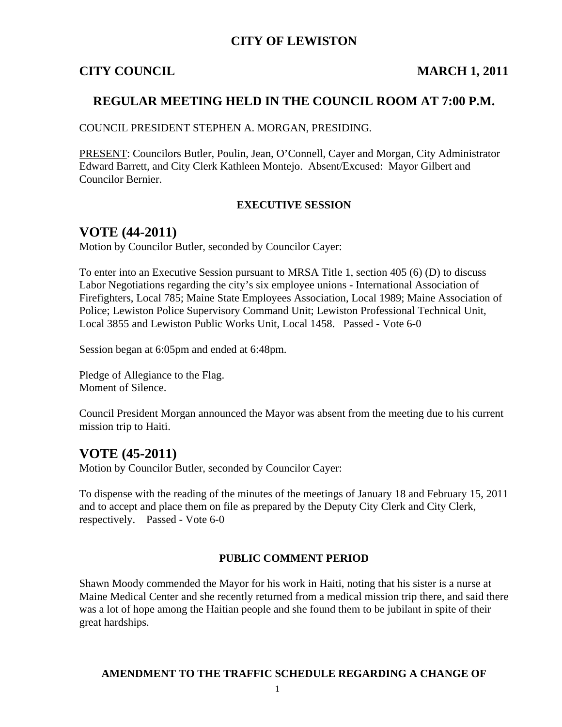## **CITY OF LEWISTON**

#### **CITY COUNCIL MARCH 1, 2011**

#### **REGULAR MEETING HELD IN THE COUNCIL ROOM AT 7:00 P.M.**

COUNCIL PRESIDENT STEPHEN A. MORGAN, PRESIDING.

PRESENT: Councilors Butler, Poulin, Jean, O'Connell, Cayer and Morgan, City Administrator Edward Barrett, and City Clerk Kathleen Montejo. Absent/Excused: Mayor Gilbert and Councilor Bernier.

#### **EXECUTIVE SESSION**

#### **VOTE (44-2011)**

Motion by Councilor Butler, seconded by Councilor Cayer:

To enter into an Executive Session pursuant to MRSA Title 1, section 405 (6) (D) to discuss Labor Negotiations regarding the city's six employee unions - International Association of Firefighters, Local 785; Maine State Employees Association, Local 1989; Maine Association of Police; Lewiston Police Supervisory Command Unit; Lewiston Professional Technical Unit, Local 3855 and Lewiston Public Works Unit, Local 1458. Passed - Vote 6-0

Session began at 6:05pm and ended at 6:48pm.

Pledge of Allegiance to the Flag. Moment of Silence.

Council President Morgan announced the Mayor was absent from the meeting due to his current mission trip to Haiti.

## **VOTE (45-2011)**

Motion by Councilor Butler, seconded by Councilor Cayer:

To dispense with the reading of the minutes of the meetings of January 18 and February 15, 2011 and to accept and place them on file as prepared by the Deputy City Clerk and City Clerk, respectively. Passed - Vote 6-0

#### **PUBLIC COMMENT PERIOD**

Shawn Moody commended the Mayor for his work in Haiti, noting that his sister is a nurse at Maine Medical Center and she recently returned from a medical mission trip there, and said there was a lot of hope among the Haitian people and she found them to be jubilant in spite of their great hardships.

#### **AMENDMENT TO THE TRAFFIC SCHEDULE REGARDING A CHANGE OF**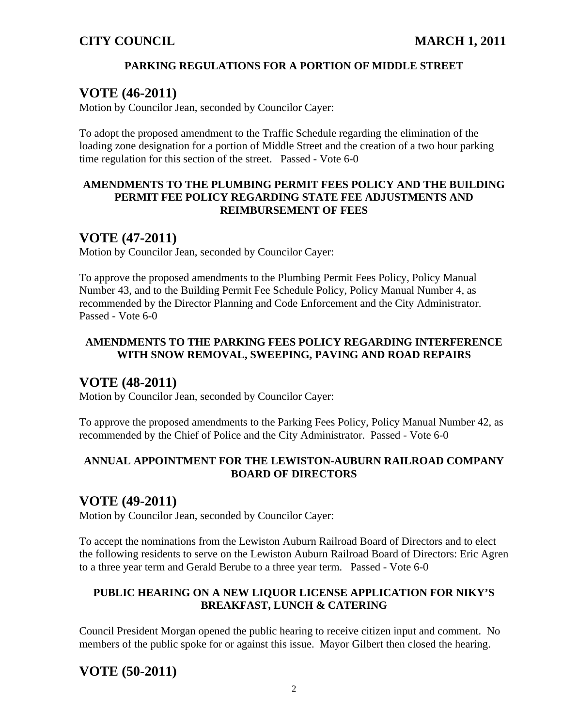## **PARKING REGULATIONS FOR A PORTION OF MIDDLE STREET**

## **VOTE (46-2011)**

Motion by Councilor Jean, seconded by Councilor Cayer:

To adopt the proposed amendment to the Traffic Schedule regarding the elimination of the loading zone designation for a portion of Middle Street and the creation of a two hour parking time regulation for this section of the street. Passed - Vote 6-0

#### **AMENDMENTS TO THE PLUMBING PERMIT FEES POLICY AND THE BUILDING PERMIT FEE POLICY REGARDING STATE FEE ADJUSTMENTS AND REIMBURSEMENT OF FEES**

# **VOTE (47-2011)**

Motion by Councilor Jean, seconded by Councilor Cayer:

To approve the proposed amendments to the Plumbing Permit Fees Policy, Policy Manual Number 43, and to the Building Permit Fee Schedule Policy, Policy Manual Number 4, as recommended by the Director Planning and Code Enforcement and the City Administrator. Passed - Vote 6-0

## **AMENDMENTS TO THE PARKING FEES POLICY REGARDING INTERFERENCE WITH SNOW REMOVAL, SWEEPING, PAVING AND ROAD REPAIRS**

## **VOTE (48-2011)**

Motion by Councilor Jean, seconded by Councilor Cayer:

To approve the proposed amendments to the Parking Fees Policy, Policy Manual Number 42, as recommended by the Chief of Police and the City Administrator. Passed - Vote 6-0

## **ANNUAL APPOINTMENT FOR THE LEWISTON-AUBURN RAILROAD COMPANY BOARD OF DIRECTORS**

# **VOTE (49-2011)**

Motion by Councilor Jean, seconded by Councilor Cayer:

To accept the nominations from the Lewiston Auburn Railroad Board of Directors and to elect the following residents to serve on the Lewiston Auburn Railroad Board of Directors: Eric Agren to a three year term and Gerald Berube to a three year term. Passed - Vote 6-0

## **PUBLIC HEARING ON A NEW LIQUOR LICENSE APPLICATION FOR NIKY'S BREAKFAST, LUNCH & CATERING**

Council President Morgan opened the public hearing to receive citizen input and comment. No members of the public spoke for or against this issue. Mayor Gilbert then closed the hearing.

# **VOTE (50-2011)**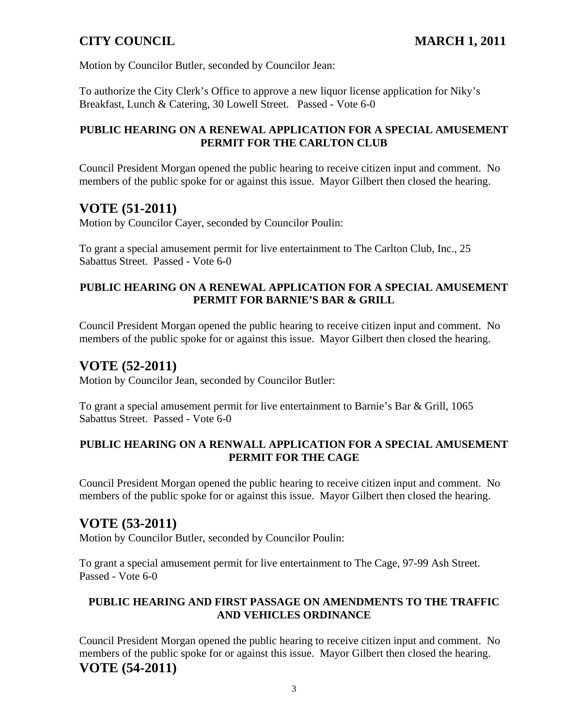Motion by Councilor Butler, seconded by Councilor Jean:

To authorize the City Clerk's Office to approve a new liquor license application for Niky's Breakfast, Lunch & Catering, 30 Lowell Street. Passed - Vote 6-0

## **PUBLIC HEARING ON A RENEWAL APPLICATION FOR A SPECIAL AMUSEMENT PERMIT FOR THE CARLTON CLUB**

Council President Morgan opened the public hearing to receive citizen input and comment. No members of the public spoke for or against this issue. Mayor Gilbert then closed the hearing.

# **VOTE (51-2011)**

Motion by Councilor Cayer, seconded by Councilor Poulin:

To grant a special amusement permit for live entertainment to The Carlton Club, Inc., 25 Sabattus Street. Passed - Vote 6-0

#### **PUBLIC HEARING ON A RENEWAL APPLICATION FOR A SPECIAL AMUSEMENT PERMIT FOR BARNIE'S BAR & GRILL**

Council President Morgan opened the public hearing to receive citizen input and comment. No members of the public spoke for or against this issue. Mayor Gilbert then closed the hearing.

# **VOTE (52-2011)**

Motion by Councilor Jean, seconded by Councilor Butler:

To grant a special amusement permit for live entertainment to Barnie's Bar & Grill, 1065 Sabattus Street. Passed - Vote 6-0

## **PUBLIC HEARING ON A RENWALL APPLICATION FOR A SPECIAL AMUSEMENT PERMIT FOR THE CAGE**

Council President Morgan opened the public hearing to receive citizen input and comment. No members of the public spoke for or against this issue. Mayor Gilbert then closed the hearing.

# **VOTE (53-2011)**

Motion by Councilor Butler, seconded by Councilor Poulin:

To grant a special amusement permit for live entertainment to The Cage, 97-99 Ash Street. Passed - Vote 6-0

## **PUBLIC HEARING AND FIRST PASSAGE ON AMENDMENTS TO THE TRAFFIC AND VEHICLES ORDINANCE**

Council President Morgan opened the public hearing to receive citizen input and comment. No members of the public spoke for or against this issue. Mayor Gilbert then closed the hearing. **VOTE (54-2011)**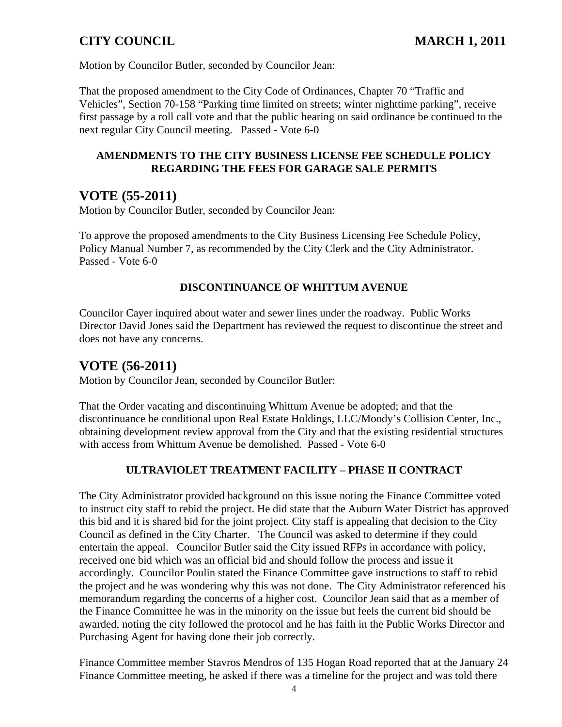Motion by Councilor Butler, seconded by Councilor Jean:

That the proposed amendment to the City Code of Ordinances, Chapter 70 "Traffic and Vehicles", Section 70-158 "Parking time limited on streets; winter nighttime parking", receive first passage by a roll call vote and that the public hearing on said ordinance be continued to the next regular City Council meeting. Passed - Vote 6-0

#### **AMENDMENTS TO THE CITY BUSINESS LICENSE FEE SCHEDULE POLICY REGARDING THE FEES FOR GARAGE SALE PERMITS**

## **VOTE (55-2011)**

Motion by Councilor Butler, seconded by Councilor Jean:

To approve the proposed amendments to the City Business Licensing Fee Schedule Policy, Policy Manual Number 7, as recommended by the City Clerk and the City Administrator. Passed - Vote 6-0

#### **DISCONTINUANCE OF WHITTUM AVENUE**

Councilor Cayer inquired about water and sewer lines under the roadway. Public Works Director David Jones said the Department has reviewed the request to discontinue the street and does not have any concerns.

## **VOTE (56-2011)**

Motion by Councilor Jean, seconded by Councilor Butler:

That the Order vacating and discontinuing Whittum Avenue be adopted; and that the discontinuance be conditional upon Real Estate Holdings, LLC/Moody's Collision Center, Inc., obtaining development review approval from the City and that the existing residential structures with access from Whittum Avenue be demolished. Passed - Vote 6-0

## **ULTRAVIOLET TREATMENT FACILITY – PHASE II CONTRACT**

The City Administrator provided background on this issue noting the Finance Committee voted to instruct city staff to rebid the project. He did state that the Auburn Water District has approved this bid and it is shared bid for the joint project. City staff is appealing that decision to the City Council as defined in the City Charter. The Council was asked to determine if they could entertain the appeal. Councilor Butler said the City issued RFPs in accordance with policy, received one bid which was an official bid and should follow the process and issue it accordingly. Councilor Poulin stated the Finance Committee gave instructions to staff to rebid the project and he was wondering why this was not done. The City Administrator referenced his memorandum regarding the concerns of a higher cost. Councilor Jean said that as a member of the Finance Committee he was in the minority on the issue but feels the current bid should be awarded, noting the city followed the protocol and he has faith in the Public Works Director and Purchasing Agent for having done their job correctly.

Finance Committee member Stavros Mendros of 135 Hogan Road reported that at the January 24 Finance Committee meeting, he asked if there was a timeline for the project and was told there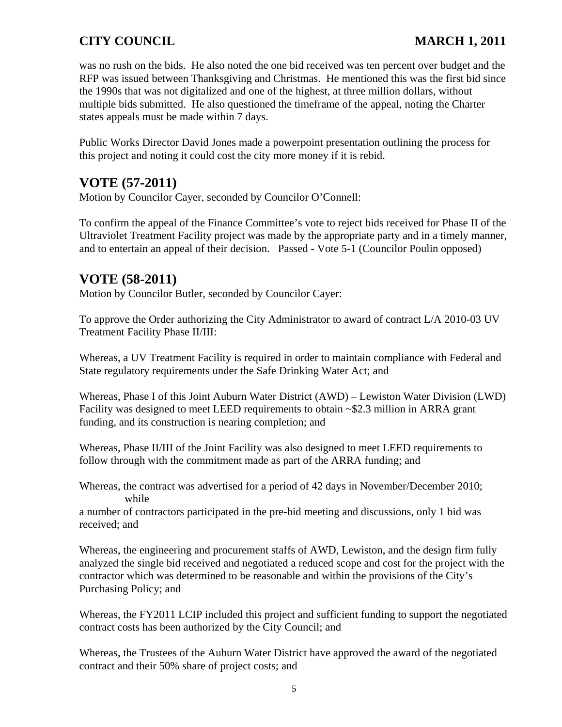was no rush on the bids. He also noted the one bid received was ten percent over budget and the RFP was issued between Thanksgiving and Christmas. He mentioned this was the first bid since the 1990s that was not digitalized and one of the highest, at three million dollars, without multiple bids submitted. He also questioned the timeframe of the appeal, noting the Charter states appeals must be made within 7 days.

Public Works Director David Jones made a powerpoint presentation outlining the process for this project and noting it could cost the city more money if it is rebid.

# **VOTE (57-2011)**

Motion by Councilor Cayer, seconded by Councilor O'Connell:

To confirm the appeal of the Finance Committee's vote to reject bids received for Phase II of the Ultraviolet Treatment Facility project was made by the appropriate party and in a timely manner, and to entertain an appeal of their decision. Passed - Vote 5-1 (Councilor Poulin opposed)

# **VOTE (58-2011)**

Motion by Councilor Butler, seconded by Councilor Cayer:

To approve the Order authorizing the City Administrator to award of contract L/A 2010-03 UV Treatment Facility Phase II/III:

Whereas, a UV Treatment Facility is required in order to maintain compliance with Federal and State regulatory requirements under the Safe Drinking Water Act; and

Whereas, Phase I of this Joint Auburn Water District (AWD) – Lewiston Water Division (LWD) Facility was designed to meet LEED requirements to obtain ~\$2.3 million in ARRA grant funding, and its construction is nearing completion; and

Whereas, Phase II/III of the Joint Facility was also designed to meet LEED requirements to follow through with the commitment made as part of the ARRA funding; and

Whereas, the contract was advertised for a period of 42 days in November/December 2010; while

a number of contractors participated in the pre-bid meeting and discussions, only 1 bid was received; and

Whereas, the engineering and procurement staffs of AWD, Lewiston, and the design firm fully analyzed the single bid received and negotiated a reduced scope and cost for the project with the contractor which was determined to be reasonable and within the provisions of the City's Purchasing Policy; and

Whereas, the FY2011 LCIP included this project and sufficient funding to support the negotiated contract costs has been authorized by the City Council; and

Whereas, the Trustees of the Auburn Water District have approved the award of the negotiated contract and their 50% share of project costs; and